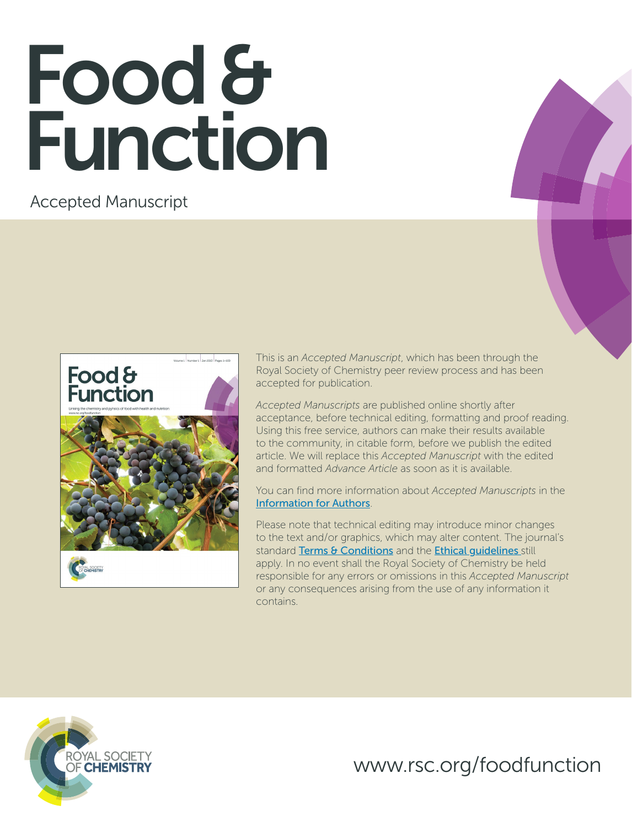# Food & Function

Accepted Manuscript



This is an *Accepted Manuscript*, which has been through the Royal Society of Chemistry peer review process and has been accepted for publication.

*Accepted Manuscripts* are published online shortly after acceptance, before technical editing, formatting and proof reading. Using this free service, authors can make their results available to the community, in citable form, before we publish the edited article. We will replace this *Accepted Manuscript* with the edited and formatted *Advance Article* as soon as it is available.

You can find more information about *Accepted Manuscripts* in the [Information for Authors](http://www.rsc.org/Publishing/Journals/guidelines/AuthorGuidelines/JournalPolicy/accepted_manuscripts.asp).

Please note that technical editing may introduce minor changes to the text and/or graphics, which may alter content. The journal's standard [Terms & Conditions](http://www.rsc.org/help/termsconditions.asp) and the Ethical quidelines still apply. In no event shall the Royal Society of Chemistry be held responsible for any errors or omissions in this *Accepted Manuscript* or any consequences arising from the use of any information it contains.



www.rsc.org/foodfunction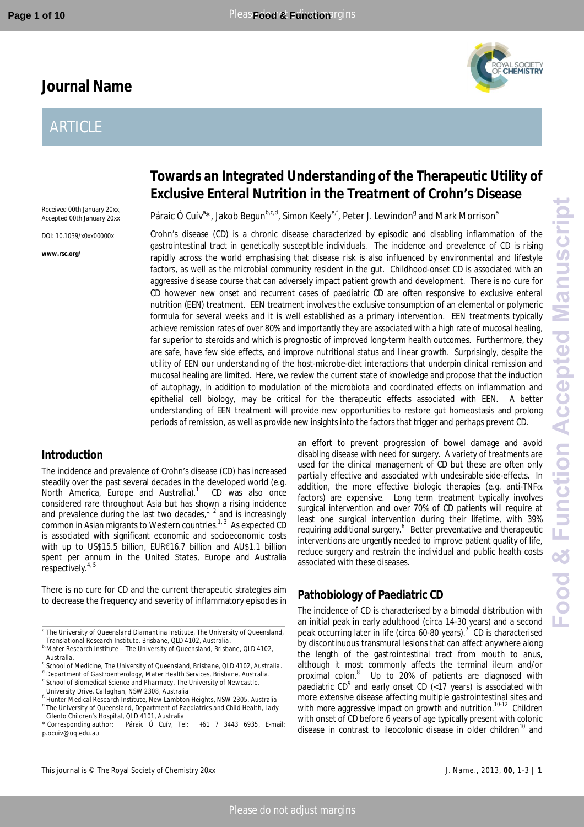# **Journal Name**

# ARTICLE

Received 00th January 20xx, Accepted 00th January 20xx

DOI: 10.1039/x0xx00000x

**www.rsc.org/**

# **Towards an Integrated Understanding of the Therapeutic Utility of Exclusive Enteral Nutrition in the Treatment of Crohn's Disease**

Páraic Ó Cuív<sup>a</sup>\*, Jakob Begun<sup>b,c,d</sup>, Simon Keely<sup>e,f</sup>, Peter J. Lewindon<sup>g</sup> and Mark Morrison<sup>a</sup>

Crohn's disease (CD) is a chronic disease characterized by episodic and disabling inflammation of the gastrointestinal tract in genetically susceptible individuals. The incidence and prevalence of CD is rising rapidly across the world emphasising that disease risk is also influenced by environmental and lifestyle factors, as well as the microbial community resident in the gut. Childhood-onset CD is associated with an aggressive disease course that can adversely impact patient growth and development. There is no cure for CD however new onset and recurrent cases of paediatric CD are often responsive to exclusive enteral nutrition (EEN) treatment. EEN treatment involves the exclusive consumption of an elemental or polymeric formula for several weeks and it is well established as a primary intervention. EEN treatments typically achieve remission rates of over 80% and importantly they are associated with a high rate of mucosal healing, far superior to steroids and which is prognostic of improved long-term health outcomes. Furthermore, they are safe, have few side effects, and improve nutritional status and linear growth. Surprisingly, despite the utility of EEN our understanding of the host-microbe-diet interactions that underpin clinical remission and mucosal healing are limited. Here, we review the current state of knowledge and propose that the induction of autophagy, in addition to modulation of the microbiota and coordinated effects on inflammation and epithelial cell biology, may be critical for the therapeutic effects associated with EEN. A better understanding of EEN treatment will provide new opportunities to restore gut homeostasis and prolong periods of remission, as well as provide new insights into the factors that trigger and perhaps prevent CD.

### **Introduction**

The incidence and prevalence of Crohn's disease (CD) has increased steadily over the past several decades in the developed world (e.g. North America, Europe and Australia).<sup>1</sup> CD was also once considered rare throughout Asia but has shown a rising incidence and prevalence during the last two decades, $1/2$  and is increasingly common in Asian migrants to Western countries.<sup>1, 3</sup> As expected CD is associated with significant economic and socioeconomic costs with up to US\$15.5 billion, EUR€16.7 billion and AU\$1.1 billion spent per annum in the United States, Europe and Australia respectively.<sup>4, 5</sup>

There is no cure for CD and the current therapeutic strategies aim to decrease the frequency and severity of inflammatory episodes in an effort to prevent progression of bowel damage and avoid disabling disease with need for surgery. A variety of treatments are used for the clinical management of CD but these are often only partially effective and associated with undesirable side-effects. In addition, the more effective biologic therapies (e.g. anti-TNF $\alpha$ ) factors) are expensive. Long term treatment typically involves surgical intervention and over 70% of CD patients will require at least one surgical intervention during their lifetime, with 39% requiring additional surgery.<sup>6</sup> Better preventative and therapeutic interventions are urgently needed to improve patient quality of life, reduce surgery and restrain the individual and public health costs associated with these diseases.

### **Pathobiology of Paediatric CD**

The incidence of CD is characterised by a bimodal distribution with an initial peak in early adulthood (*circa* 14-30 years) and a second peak occurring later in life (*circa* 60-80 years).<sup>7</sup> CD is characterised by discontinuous transmural lesions that can affect anywhere along the length of the gastrointestinal tract from mouth to anus, although it most commonly affects the terminal ileum and/or proximal colon.<sup>8</sup> Up to 20% of patients are diagnosed with paediatric CD<sup>9</sup> and early onset CD (<17 years) is associated with more extensive disease affecting multiple gastrointestinal sites and with more aggressive impact on growth and nutrition.<sup>10-12</sup> Children with onset of CD before 6 years of age typically present with colonic disease in contrast to ileocolonic disease in older children<sup>10</sup> and



*a.The University of Queensland Diamantina Institute, The University of Queensland, Translational Research Institute, Brisbane, QLD 4102, Australia.*

*b.Mater Research Institute – The University of Queensland, Brisbane, QLD 4102, Australia.*

*c. School of Medicine, The University of Queensland, Brisbane, QLD 4102, Australia.*

*d.Department of Gastroenterology, Mater Health Services, Brisbane, Australia.*

*e. School of Biomedical Science and Pharmacy, The University of Newcastle,* 

*University Drive, Callaghan, NSW 2308, Australia*

*f. Hunter Medical Research Institute, New Lambton Heights, NSW 2305, Australia*

*g.The University of Queensland, Department of Paediatrics and Child Health, Lady Cilento Children's Hospital, QLD 4101, Australia*

<sup>+61 7 3443 6935,</sup> E-mail: p.ocuiv@uq.edu.au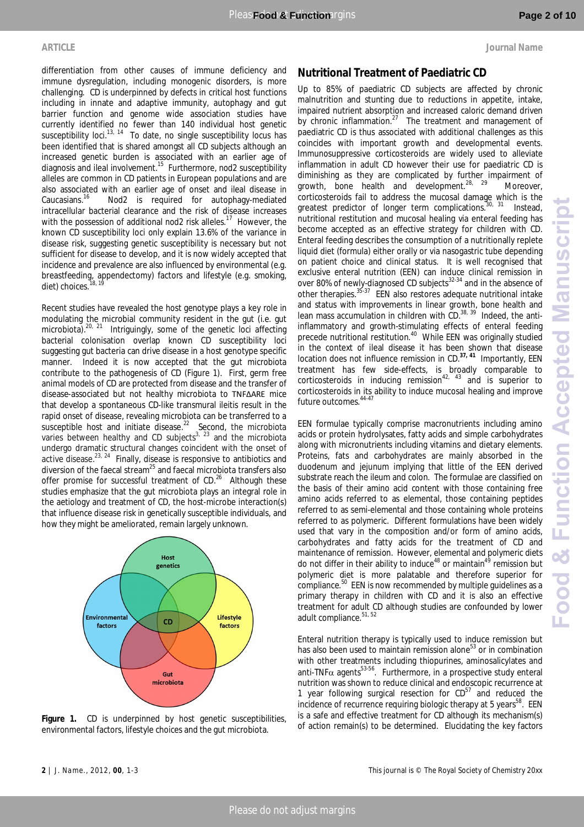### **ARTICLE Journal Name**

differentiation from other causes of immune deficiency and immune dysregulation, including monogenic disorders, is more challenging. CD is underpinned by defects in critical host functions including in innate and adaptive immunity, autophagy and gut barrier function and genome wide association studies have currently identified no fewer than 140 individual host genetic susceptibility loci.<sup>13, 14</sup> To date, no single susceptibility locus has been identified that is shared amongst all CD subjects although an increased genetic burden is associated with an earlier age of diagnosis and ileal involvement.<sup>15</sup> Furthermore, *nod2* susceptibility alleles are common in CD patients in European populations and are also associated with an earlier age of onset and ileal disease in Caucasians.<sup>16</sup> Nod2 is required for autophagy-mediated intracellular bacterial clearance and the risk of disease increases with the possession of additional *nod2* risk alleles.<sup>17</sup> However, the known CD susceptibility loci only explain 13.6% of the variance in disease risk, suggesting genetic susceptibility is necessary but not sufficient for disease to develop, and it is now widely accepted that incidence and prevalence are also influenced by environmental (e.g. breastfeeding, appendectomy) factors and lifestyle (e.g. smoking,<br>diet) shoises <sup>18, 19</sup> diet) choices.

Recent studies have revealed the host genotype plays a key role in modulating the microbial community resident in the gut (i.e. gut microbiota).<sup>20, 21</sup> Intriguingly, some of the genetic loci affecting bacterial colonisation overlap known CD susceptibility loci suggesting gut bacteria can drive disease in a host genotype specific manner. Indeed it is now accepted that the gut microbiota contribute to the pathogenesis of CD (Figure 1). First, germ free animal models of CD are protected from disease and the transfer of disease-associated but not healthy microbiota to TNFΔARE mice that develop a spontaneous CD-like transmural ileitis result in the rapid onset of disease, revealing microbiota can be transferred to a susceptible host and initiate disease.<sup>22</sup> Second, the microbiota varies between healthy and CD subjects<sup>3, 23</sup> and the microbiota undergo dramatic structural changes coincident with the onset of active disease.<sup>23, 24</sup> Finally, disease is responsive to antibiotics and diversion of the faecal stream<sup>25</sup> and faecal microbiota transfers also offer promise for successful treatment of CD.<sup>26</sup> Although these studies emphasize that the gut microbiota plays an integral role in the aetiology and treatment of CD, the host-microbe interaction(s) that influence disease risk in genetically susceptible individuals, and how they might be ameliorated, remain largely unknown.



Figure 1. CD is underpinned by host genetic susceptibilities, environmental factors, lifestyle choices and the gut microbiota.

### **Nutritional Treatment of Paediatric CD**

Up to 85% of paediatric CD subjects are affected by chronic malnutrition and stunting due to reductions in appetite, intake, impaired nutrient absorption and increased caloric demand driven by chronic inflammation.<sup>27</sup> The treatment and management of paediatric CD is thus associated with additional challenges as this coincides with important growth and developmental events. Immunosuppressive corticosteroids are widely used to alleviate inflammation in adult CD however their use for paediatric CD is diminishing as they are complicated by further impairment of growth, bone health and development.<sup>28, 29</sup> Moreover, corticosteroids fail to address the mucosal damage which is the corrected productor of longer term complications  $30$ ,  $31$  Instead greatest predictor of longer term complications.<sup>3</sup> Instead, nutritional restitution and mucosal healing via enteral feeding has become accepted as an effective strategy for children with CD. Enteral feeding describes the consumption of a nutritionally replete liquid diet (formula) either orally or via nasogastric tube depending on patient choice and clinical status. It is well recognised that exclusive enteral nutrition (EEN) can induce clinical remission in over 80% of newly-diagnosed CD subjects<sup>32-34</sup> and in the absence of other therapies.<sup>35-37</sup> EEN also restores adequate nutritional intake and status with improvements in linear growth, bone health and lean mass accumulation in children with CD.<sup>38, 39</sup> Indeed, the antiinflammatory and growth-stimulating effects of enteral feeding precede nutritional restitution.<sup>40</sup> While EEN was originally studied in the context of ileal disease it has been shown that disease location does not influence remission in CD. **37, 41** Importantly, EEN treatment has few side-effects, is broadly comparable to corticosteroids in inducing remission $42, 43$  and is superior to corticosteroids in its ability to induce mucosal healing and improve future outcomes.44-47

EEN formulae typically comprise macronutrients including amino acids or protein hydrolysates, fatty acids and simple carbohydrates along with micronutrients including vitamins and dietary elements. Proteins, fats and carbohydrates are mainly absorbed in the duodenum and jejunum implying that little of the EEN derived substrate reach the ileum and colon. The formulae are classified on the basis of their amino acid content with those containing free amino acids referred to as elemental, those containing peptides referred to as semi-elemental and those containing whole proteins referred to as polymeric. Different formulations have been widely used that vary in the composition and/or form of amino acids, carbohydrates and fatty acids for the treatment of CD and maintenance of remission. However, elemental and polymeric diets do not differ in their ability to induce<sup>48</sup> or maintain<sup>49</sup> remission but polymeric diet is more palatable and therefore superior for compliance.<sup>50</sup> EEN is now recommended by multiple guidelines as a primary therapy in children with CD and it is also an effective treatment for adult CD although studies are confounded by lower adult compliance.<sup>51, 52</sup>

Enteral nutrition therapy is typically used to induce remission but has also been used to maintain remission alone<sup>53</sup> or in combination with other treatments including thiopurines, aminosalicylates and anti-TNF $\alpha$  agents<sup>53-56</sup>. Furthermore, in a prospective study enteral nutrition was shown to reduce clinical and endoscopic recurrence at 1 year following surgical resection for  $CD^{57}$  and reduced the incidence of recurrence requiring biologic therapy at 5 years<sup>58</sup>. EEN is a safe and effective treatment for CD although its mechanism(s) of action remain(s) to be determined. Elucidating the key factors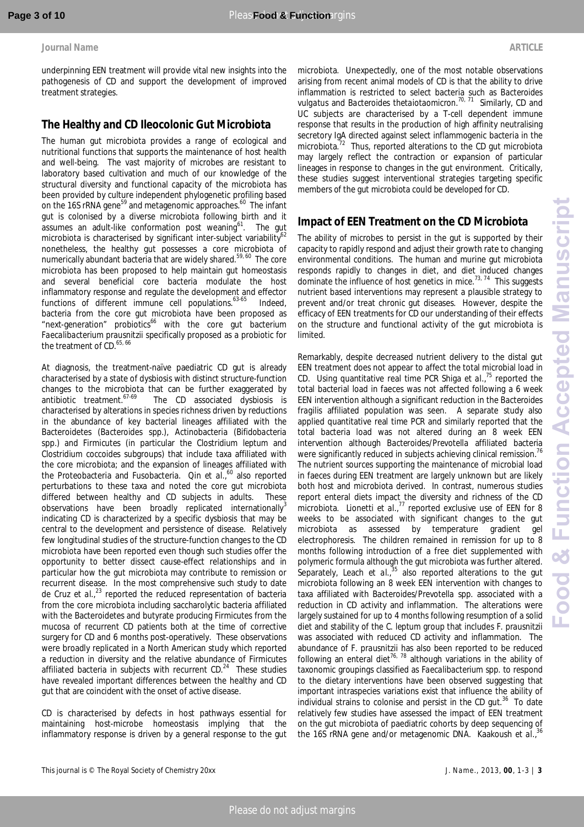### **Journal Name ARTICLE**

# **The Healthy and CD Ileocolonic Gut Microbiota**

The human gut microbiota provides a range of ecological and nutritional functions that supports the maintenance of host health and well-being. The vast majority of microbes are resistant to laboratory based cultivation and much of our knowledge of the structural diversity and functional capacity of the microbiota has been provided by culture independent phylogenetic profiling based on the 16S rRNA gene<sup>59</sup> and metagenomic approaches.<sup>60</sup> The infant gut is colonised by a diverse microbiota following birth and it assumes an adult-like conformation post weaning $61$ . The gut microbiota is characterised by significant inter-subject variability $62$ nonetheless, the healthy gut possesses a core microbiota of numerically abundant bacteria that are widely shared.<sup>59,60</sup> The core microbiota has been proposed to help maintain gut homeostasis and several beneficial core bacteria modulate the host inflammatory response and regulate the development and effector functions of different immune cell populations.63-65 Indeed, bacteria from the core gut microbiota have been proposed as "next-generation" probiotics<sup>66</sup> with the core gut bacterium *Faecalibacterium prausnitzii* specifically proposed as a probiotic for the treatment of CD.<sup>65, 66</sup>

At diagnosis, the treatment-naïve paediatric CD gut is already characterised by a state of dysbiosis with distinct structure-function changes to the microbiota that can be further exaggerated by antibiotic treatment.<sup>67-69</sup> The CD associated dysbiosis is characterised by alterations in species richness driven by reductions in the abundance of key bacterial lineages affiliated with the Bacteroidetes (*Bacteroides* spp.), Actinobacteria (*Bifidobacteria* spp.) and Firmicutes (in particular the *Clostridium leptum* and *Clostridium coccoides* subgroups) that include taxa affiliated with the core microbiota; and the expansion of lineages affiliated with the Proteobacteria and Fusobacteria. Qin *et al*., <sup>60</sup> also reported perturbations to these taxa and noted the core gut microbiota differed between healthy and CD subjects in adults. These observations have been broadly replicated internationally<sup>3</sup> indicating CD is characterized by a specific dysbiosis that may be central to the development and persistence of disease. Relatively few longitudinal studies of the structure-function changes to the CD microbiota have been reported even though such studies offer the opportunity to better dissect cause-effect relationships and in particular how the gut microbiota may contribute to remission or recurrent disease. In the most comprehensive such study to date de Cruz *et al*., <sup>23</sup> reported the reduced representation of bacteria from the core microbiota including saccharolytic bacteria affiliated with the Bacteroidetes and butyrate producing Firmicutes from the mucosa of recurrent CD patients both at the time of corrective surgery for CD and 6 months post-operatively. These observations were broadly replicated in a North American study which reported a reduction in diversity and the relative abundance of Firmicutes affiliated bacteria in subjects with recurrent CD.<sup>24</sup> These studies have revealed important differences between the healthy and CD gut that are coincident with the onset of active disease.

CD is characterised by defects in host pathways essential for maintaining host-microbe homeostasis implying that the inflammatory response is driven by a general response to the gut

### microbiota. Unexpectedly, one of the most notable observations arising from recent animal models of CD is that the ability to drive inflammation is restricted to select bacteria such as *Bacteroides vulgatus* and *Bacteroides thetaiotaomicron*. 70, 71 Similarly, CD and UC subjects are characterised by a T-cell dependent immune response that results in the production of high affinity neutralising secretory IgA directed against select inflammogenic bacteria in the microbiota.<sup>72</sup> Thus, reported alterations to the CD gut microbiota may largely reflect the contraction or expansion of particular lineages in response to changes in the gut environment. Critically, these studies suggest interventional strategies targeting specific members of the gut microbiota could be developed for CD.

## **Impact of EEN Treatment on the CD Microbiota**

The ability of microbes to persist in the gut is supported by their capacity to rapidly respond and adjust their growth rate to changing environmental conditions. The human and murine gut microbiota responds rapidly to changes in diet, and diet induced changes dominate the influence of host genetics in mice.<sup>73, 74</sup> This suggests nutrient based interventions may represent a plausible strategy to prevent and/or treat chronic gut diseases. However, despite the efficacy of EEN treatments for CD our understanding of their effects on the structure and functional activity of the gut microbiota is limited.

Remarkably, despite decreased nutrient delivery to the distal gut EEN treatment does not appear to affect the total microbial load in CD. Using quantitative real time PCR Shiga *et al*., <sup>75</sup> reported the total bacterial load in faeces was not affected following a 6 week EEN intervention although a significant reduction in the *Bacteroides fragilis* affiliated population was seen. A separate study also applied quantitative real time PCR and similarly reported that the total bacteria load was not altered during an 8 week EEN intervention although *Bacteroides/Prevotella* affiliated bacteria were significantly reduced in subjects achieving clinical remission.<sup>76</sup> The nutrient sources supporting the maintenance of microbial load in faeces during EEN treatment are largely unknown but are likely both host and microbiota derived. In contrast, numerous studies report enteral diets impact the diversity and richness of the CD microbiota. Lionetti *et al*., <sup>77</sup> reported exclusive use of EEN for 8 weeks to be associated with significant changes to the gut microbiota as assessed by temperature gradient gel electrophoresis. The children remained in remission for up to 8 months following introduction of a free diet supplemented with polymeric formula although the gut microbiota was further altered. Separately, Leach *et al.*<sup>35</sup> also reported alterations to the gut microbiota following an 8 week EEN intervention with changes to taxa affiliated with *Bacteroides/Prevotella* spp. associated with a reduction in CD activity and inflammation. The alterations were largely sustained for up to 4 months following resumption of a solid diet and stability of the *C. leptum* group that includes *F. prausnitzii* was associated with reduced CD activity and inflammation. The abundance of *F. prausnitzii* has also been reported to be reduced following an enteral diet<sup>76, 78</sup> although variations in the ability of taxonomic groupings classified as *Faecalibacterium* spp. to respond to the dietary interventions have been observed suggesting that important intraspecies variations exist that influence the ability of individual strains to colonise and persist in the CD gut.<sup>36</sup> To date relatively few studies have assessed the impact of EEN treatment on the gut microbiota of paediatric cohorts by deep sequencing of the 16S rRNA gene and/or metagenomic DNA. Kaakoush *et al*., 36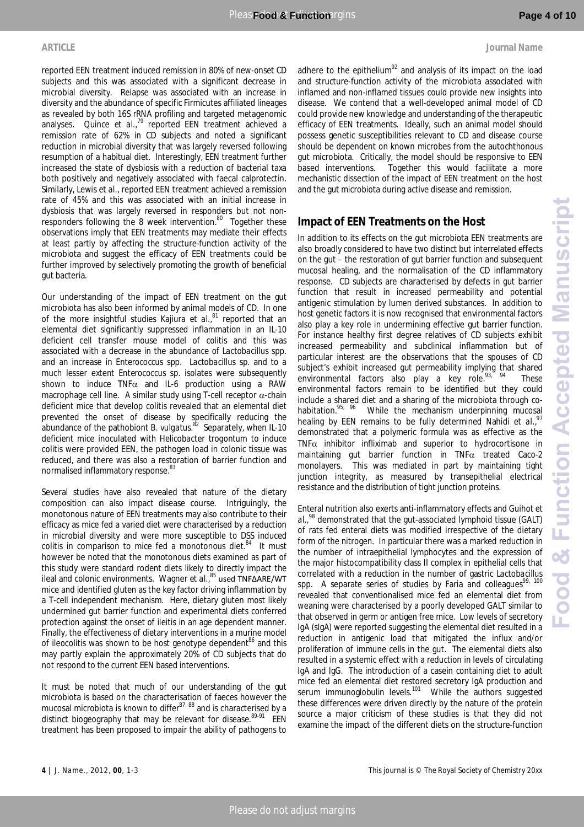### **ARTICLE Journal Name**

reported EEN treatment induced remission in 80% of new-onset CD subjects and this was associated with a significant decrease in microbial diversity. Relapse was associated with an increase in diversity and the abundance of specific Firmicutes affiliated lineages as revealed by both 16S rRNA profiling and targeted metagenomic analyses. Quince *et al*., <sup>79</sup> reported EEN treatment achieved a remission rate of 62% in CD subjects and noted a significant reduction in microbial diversity that was largely reversed following resumption of a habitual diet. Interestingly, EEN treatment further increased the state of dysbiosis with a reduction of bacterial taxa both positively and negatively associated with faecal calprotectin. Similarly, Lewis *et al*., reported EEN treatment achieved a remission rate of 45% and this was associated with an initial increase in dysbiosis that was largely reversed in responders but not nonresponders following the 8 week intervention.<sup>80</sup> Together these observations imply that EEN treatments may mediate their effects at least partly by affecting the structure-function activity of the microbiota and suggest the efficacy of EEN treatments could be further improved by selectively promoting the growth of beneficial gut bacteria.

Our understanding of the impact of EEN treatment on the gut microbiota has also been informed by animal models of CD. In one of the more insightful studies Kajiura *et al.*,<sup>81</sup> reported that an elemental diet significantly suppressed inflammation in an IL-10 deficient cell transfer mouse model of colitis and this was associated with a decrease in the abundance of *Lactobacillus* spp. and an increase in *Enterococcus* spp. *Lactobacillus* sp. and to a much lesser extent *Enterococcus* sp. isolates were subsequently shown to induce TNF $\alpha$  and IL-6 production using a RAW macrophage cell line. A similar study using T-cell receptor  $\alpha$ -chain deficient mice that develop colitis revealed that an elemental diet prevented the onset of disease by specifically reducing the abundance of the pathobiont *B. vulgatus*. 82 Separately, when IL-10 deficient mice inoculated with *Helicobacter trogontum* to induce colitis were provided EEN, the pathogen load in colonic tissue was reduced, and there was also a restoration of barrier function and normalised inflammatory response.<sup>83</sup>

Several studies have also revealed that nature of the dietary composition can also impact disease course. Intriguingly, the monotonous nature of EEN treatments may also contribute to their efficacy as mice fed a varied diet were characterised by a reduction in microbial diversity and were more susceptible to DSS induced colitis in comparison to mice fed a monotonous diet.<sup>84</sup> It must however be noted that the monotonous diets examined as part of this study were standard rodent diets likely to directly impact the ileal and colonic environments. Wagner *et al*., <sup>85</sup> used TNFΔARE/WT mice and identified gluten as the key factor driving inflammation by a T-cell independent mechanism. Here, dietary gluten most likely undermined gut barrier function and experimental diets conferred protection against the onset of ileitis in an age dependent manner. Finally, the effectiveness of dietary interventions in a murine model of ileocolitis was shown to be host genotype dependent $86$  and this may partly explain the approximately 20% of CD subjects that do not respond to the current EEN based interventions.

It must be noted that much of our understanding of the gut microbiota is based on the characterisation of faeces however the mucosal microbiota is known to differ<sup>87, 88</sup> and is characterised by a distinct biogeography that may be relevant for disease.<sup>89-91</sup> EEN treatment has been proposed to impair the ability of pathogens to

adhere to the epithelium<sup>92</sup> and analysis of its impact on the load and structure-function activity of the microbiota associated with inflamed and non-inflamed tissues could provide new insights into disease. We contend that a well-developed animal model of CD could provide new knowledge and understanding of the therapeutic efficacy of EEN treatments. Ideally, such an animal model should possess genetic susceptibilities relevant to CD and disease course should be dependent on known microbes from the autochthonous gut microbiota. Critically, the model should be responsive to EEN based interventions. Together this would facilitate a more mechanistic dissection of the impact of EEN treatment on the host and the gut microbiota during active disease and remission.

### **Impact of EEN Treatments on the Host**

In addition to its effects on the gut microbiota EEN treatments are also broadly considered to have two distinct but interrelated effects on the gut – the restoration of gut barrier function and subsequent mucosal healing, and the normalisation of the CD inflammatory response. CD subjects are characterised by defects in gut barrier function that result in increased permeability and potential antigenic stimulation by lumen derived substances. In addition to host genetic factors it is now recognised that environmental factors also play a key role in undermining effective gut barrier function. For instance healthy first degree relatives of CD subjects exhibit increased permeability and subclinical inflammation but of particular interest are the observations that the spouses of CD subject's exhibit increased gut permeability implying that shared environmental factors also play a key role. $93$ , These environmental factors remain to be identified but they could include a shared diet and a sharing of the microbiota through cohabitation.<sup>95, 96</sup> While the mechanism underpinning mucosal healing by EEN remains to be fully determined Nahidi *et al.*,<sup>97</sup> demonstrated that a polymeric formula was as effective as the TNF $\alpha$  inhibitor infliximab and superior to hydrocortisone in maintaining gut barrier function in  $TNF\alpha$  treated Caco-2 monolayers. This was mediated in part by maintaining tight junction integrity, as measured by transepithelial electrical resistance and the distribution of tight junction proteins.

Enteral nutrition also exerts anti-inflammatory effects and Guihot *et al*., <sup>98</sup> demonstrated that the gut-associated lymphoid tissue (GALT) of rats fed enteral diets was modified irrespective of the dietary form of the nitrogen. In particular there was a marked reduction in the number of intraepithelial lymphocytes and the expression of the major histocompatibility class II complex in epithelial cells that correlated with a reduction in the number of gastric *Lactobacillus* spp. A separate series of studies by Faria and colleagues<sup>99, 100</sup> revealed that conventionalised mice fed an elemental diet from weaning were characterised by a poorly developed GALT similar to that observed in germ or antigen free mice. Low levels of secretory IgA (sIgA) were reported suggesting the elemental diet resulted in a reduction in antigenic load that mitigated the influx and/or proliferation of immune cells in the gut. The elemental diets also resulted in a systemic effect with a reduction in levels of circulating IgA and IgG. The introduction of a casein containing diet to adult mice fed an elemental diet restored secretory IgA production and serum immunoglobulin levels.<sup>101</sup> While the authors suggested these differences were driven directly by the nature of the protein source a major criticism of these studies is that they did not examine the impact of the different diets on the structure-function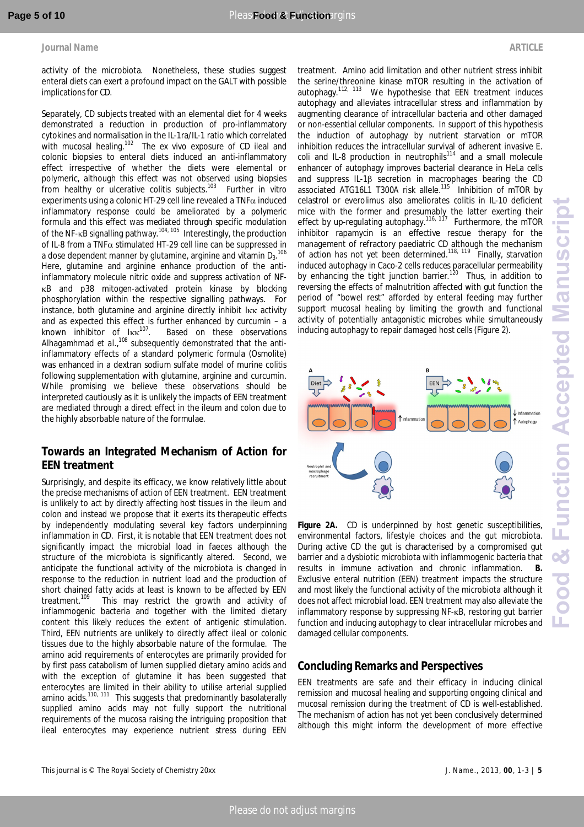### **Journal Name ARTICLE**

activity of the microbiota. Nonetheless, these studies suggest enteral diets can exert a profound impact on the GALT with possible implications for CD.

Separately, CD subjects treated with an elemental diet for 4 weeks demonstrated a reduction in production of pro-inflammatory cytokines and normalisation in the IL-1ra/IL-1 ratio which correlated with mucosal healing.<sup>102</sup> The ex vivo exposure of CD ileal and colonic biopsies to enteral diets induced an anti-inflammatory effect irrespective of whether the diets were elemental or polymeric, although this effect was not observed using biopsies from healthy or ulcerative colitis subjects. 103 Further *in vitro* experiments using a colonic HT-29 cell line revealed a TNF $\alpha$  induced inflammatory response could be ameliorated by a polymeric formula and this effect was mediated through specific modulation of the NF-ĸB signalling pathway.<sup>104, 105</sup> Interestingly, the production of IL-8 from a TNF $\alpha$  stimulated HT-29 cell line can be suppressed in a dose dependent manner by glutamine, arginine and vitamin  $D_3$ .  $^{106}$ Here, glutamine and arginine enhance production of the antiinflammatory molecule nitric oxide and suppress activation of NF- B and p38 mitogen-activated protein kinase by blocking phosphorylation within the respective signalling pathways. For instance, both glutamine and arginine directly inhibit  $\kappa$  activity and as expected this effect is further enhanced by curcumin – a known inhibitor of l $\kappa\kappa^{107}$ . Based on these observations Alhagamhmad *et al.*,<sup>108</sup> subsequently demonstrated that the antiinflammatory effects of a standard polymeric formula (Osmolite) was enhanced in a dextran sodium sulfate model of murine colitis following supplementation with glutamine, arginine and curcumin. While promising we believe these observations should be interpreted cautiously as it is unlikely the impacts of EEN treatment are mediated through a direct effect in the ileum and colon due to the highly absorbable nature of the formulae.

### **Towards an Integrated Mechanism of Action for EEN treatment**

Surprisingly, and despite its efficacy, we know relatively little about the precise mechanisms of action of EEN treatment. EEN treatment is unlikely to act by directly affecting host tissues in the ileum and colon and instead we propose that it exerts its therapeutic effects by independently modulating several key factors underpinning inflammation in CD. First, it is notable that EEN treatment does not significantly impact the microbial load in faeces although the structure of the microbiota is significantly altered. Second, we anticipate the functional activity of the microbiota is changed in response to the reduction in nutrient load and the production of short chained fatty acids at least is known to be affected by EEN treatment.<sup>109</sup> This may restrict the growth and activity of inflammogenic bacteria and together with the limited dietary content this likely reduces the extent of antigenic stimulation. Third, EEN nutrients are unlikely to directly affect ileal or colonic tissues due to the highly absorbable nature of the formulae. The amino acid requirements of enterocytes are primarily provided for by first pass catabolism of lumen supplied dietary amino acids and with the exception of glutamine it has been suggested that enterocytes are limited in their ability to utilise arterial supplied amino acids.<sup>110, 111</sup> This suggests that predominantly basolaterally supplied amino acids may not fully support the nutritional requirements of the mucosa raising the intriguing proposition that ileal enterocytes may experience nutrient stress during EEN

### treatment. Amino acid limitation and other nutrient stress inhibit the serine/threonine kinase mTOR resulting in the activation of autophagy.<sup>112, 113</sup> We hypothesise that EEN treatment induces autophagy and alleviates intracellular stress and inflammation by augmenting clearance of intracellular bacteria and other damaged or non-essential cellular components. In support of this hypothesis the induction of autophagy by nutrient starvation or mTOR inhibition reduces the intracellular survival of adherent invasive *E. coli* and IL-8 production in neutrophils<sup>114</sup> and a small molecule enhancer of autophagy improves bacterial clearance in HeLa cells and suppress IL-1B secretion in macrophages bearing the CD associated ATG16L1 T300A risk allele.<sup>115</sup> Inhibition of mTOR by celastrol or everolimus also ameliorates colitis in IL-10 deficient mice with the former and presumably the latter exerting their effect by up-regulating autophagy.<sup>116, 117</sup> Furthermore, the mTOR inhibitor rapamycin is an effective rescue therapy for the management of refractory paediatric CD although the mechanism of action has not yet been determined.<sup>118, 119</sup> Finally, starvation induced autophagy in Caco-2 cells reduces paracellular permeability

by enhancing the tight junction barrier.<sup>120</sup> Thus, in addition to reversing the effects of malnutrition affected with gut function the period of "bowel rest" afforded by enteral feeding may further support mucosal healing by limiting the growth and functional activity of potentially antagonistic microbes while simultaneously inducing autophagy to repair damaged host cells (Figure 2).



Figure 2A. CD is underpinned by host genetic susceptibilities, environmental factors, lifestyle choices and the gut microbiota. During active CD the gut is characterised by a compromised gut barrier and a dysbiotic microbiota with inflammogenic bacteria that results in immune activation and chronic inflammation. **B.** Exclusive enteral nutrition (EEN) treatment impacts the structure and most likely the functional activity of the microbiota although it does not affect microbial load. EEN treatment may also alleviate the inflammatory response by suppressing NF-KB, restoring gut barrier function and inducing autophagy to clear intracellular microbes and damaged cellular components.

### **Concluding Remarks and Perspectives**

EEN treatments are safe and their efficacy in inducing clinical remission and mucosal healing and supporting ongoing clinical and mucosal remission during the treatment of CD is well-established. The mechanism of action has not yet been conclusively determined although this might inform the development of more effective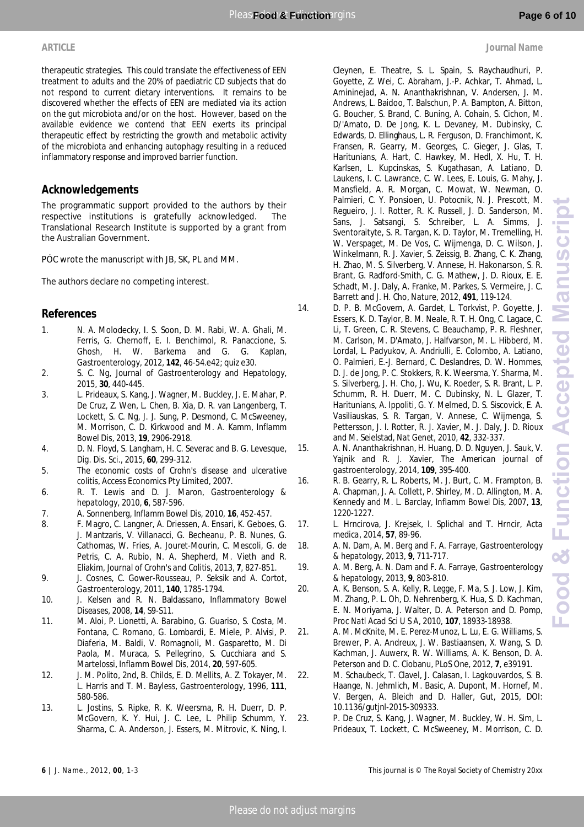therapeutic strategies. This could translate the effectiveness of EEN treatment to adults and the 20% of paediatric CD subjects that do not respond to current dietary interventions. It remains to be discovered whether the effects of EEN are mediated via its action on the gut microbiota and/or on the host. However, based on the available evidence we contend that EEN exerts its principal therapeutic effect by restricting the growth and metabolic activity of the microbiota and enhancing autophagy resulting in a reduced inflammatory response and improved barrier function.

### **Acknowledgements**

The programmatic support provided to the authors by their respective institutions is gratefully acknowledged. The Translational Research Institute is supported by a grant from the Australian Government.

PÓC wrote the manuscript with JB, SK, PL and MM.

The authors declare no competing interest.

### **References**

- 1. N. A. Molodecky, I. S. Soon, D. M. Rabi, W. A. Ghali, M. Ferris, G. Chernoff, E. I. Benchimol, R. Panaccione, S. Ghosh, H. W. Barkema and G. G. Kaplan, *Gastroenterology*, 2012, **142**, 46-54.e42; quiz e30.
- 2. S. C. Ng, *Journal of Gastroenterology and Hepatology*, 2015, **30**, 440-445.
- 3. L. Prideaux, S. Kang, J. Wagner, M. Buckley, J. E. Mahar, P. De Cruz, Z. Wen, L. Chen, B. Xia, D. R. van Langenberg, T. Lockett, S. C. Ng, J. J. Sung, P. Desmond, C. McSweeney, M. Morrison, C. D. Kirkwood and M. A. Kamm, *Inflamm Bowel Dis*, 2013, **19**, 2906-2918.
- 4. D. N. Floyd, S. Langham, H. C. Severac and B. G. Levesque, *Dig. Dis. Sci.*, 2015, **60**, 299-312.
- 5. *The economic costs of Crohn's disease and ulcerative colitis*, Access Economics Pty Limited, 2007.
- 6. R. T. Lewis and D. J. Maron, *Gastroenterology & hepatology*, 2010, **6**, 587-596.
- 7. A. Sonnenberg, *Inflamm Bowel Dis*, 2010, **16**, 452-457.
- 8. F. Magro, C. Langner, A. Driessen, A. Ensari, K. Geboes, G. J. Mantzaris, V. Villanacci, G. Becheanu, P. B. Nunes, G. Cathomas, W. Fries, A. Jouret-Mourin, C. Mescoli, G. de Petris, C. A. Rubio, N. A. Shepherd, M. Vieth and R. Eliakim, *Journal of Crohn's and Colitis*, 2013, **7**, 827-851.
- 9. J. Cosnes, C. Gower-Rousseau, P. Seksik and A. Cortot, *Gastroenterology*, 2011, **140**, 1785-1794.
- 10. J. Kelsen and R. N. Baldassano, *Inflammatory Bowel Diseases*, 2008, **14**, S9-S11.
- 11. M. Aloi, P. Lionetti, A. Barabino, G. Guariso, S. Costa, M. Fontana, C. Romano, G. Lombardi, E. Miele, P. Alvisi, P. Diaferia, M. Baldi, V. Romagnoli, M. Gasparetto, M. Di Paola, M. Muraca, S. Pellegrino, S. Cucchiara and S. Martelossi, *Inflamm Bowel Dis*, 2014, **20**, 597-605.
- 12. J. M. Polito, 2nd, B. Childs, E. D. Mellits, A. Z. Tokayer, M. L. Harris and T. M. Bayless, *Gastroenterology*, 1996, **111**, 580-586.
- 13. L. Jostins, S. Ripke, R. K. Weersma, R. H. Duerr, D. P. McGovern, K. Y. Hui, J. C. Lee, L. Philip Schumm, Y. Sharma, C. A. Anderson, J. Essers, M. Mitrovic, K. Ning, I.

### **ARTICLE Journal Name**

Cleynen, E. Theatre, S. L. Spain, S. Raychaudhuri, P. Goyette, Z. Wei, C. Abraham, J.-P. Achkar, T. Ahmad, L. Amininejad, A. N. Ananthakrishnan, V. Andersen, J. M. Andrews, L. Baidoo, T. Balschun, P. A. Bampton, A. Bitton, G. Boucher, S. Brand, C. Buning, A. Cohain, S. Cichon, M. D/'Amato, D. De Jong, K. L. Devaney, M. Dubinsky, C. Edwards, D. Ellinghaus, L. R. Ferguson, D. Franchimont, K. Fransen, R. Gearry, M. Georges, C. Gieger, J. Glas, T. Haritunians, A. Hart, C. Hawkey, M. Hedl, X. Hu, T. H. Karlsen, L. Kupcinskas, S. Kugathasan, A. Latiano, D. Laukens, I. C. Lawrance, C. W. Lees, E. Louis, G. Mahy, J. Mansfield, A. R. Morgan, C. Mowat, W. Newman, O. Palmieri, C. Y. Ponsioen, U. Potocnik, N. J. Prescott, M. Regueiro, J. I. Rotter, R. K. Russell, J. D. Sanderson, M. Sans, J. Satsangi, S. Schreiber, L. A. Simms, J. Sventoraityte, S. R. Targan, K. D. Taylor, M. Tremelling, H. W. Verspaget, M. De Vos, C. Wijmenga, D. C. Wilson, J. Winkelmann, R. J. Xavier, S. Zeissig, B. Zhang, C. K. Zhang, H. Zhao, M. S. Silverberg, V. Annese, H. Hakonarson, S. R. Brant, G. Radford-Smith, C. G. Mathew, J. D. Rioux, E. E. Schadt, M. J. Daly, A. Franke, M. Parkes, S. Vermeire, J. C. Barrett and J. H. Cho, *Nature*, 2012, **491**, 119-124.

- 14. D. P. B. McGovern, A. Gardet, L. Torkvist, P. Goyette, J. Essers, K. D. Taylor, B. M. Neale, R. T. H. Ong, C. Lagace, C. Li, T. Green, C. R. Stevens, C. Beauchamp, P. R. Fleshner, M. Carlson, M. D'Amato, J. Halfvarson, M. L. Hibberd, M. Lordal, L. Padyukov, A. Andriulli, E. Colombo, A. Latiano, O. Palmieri, E.-J. Bernard, C. Deslandres, D. W. Hommes, D. J. de Jong, P. C. Stokkers, R. K. Weersma, Y. Sharma, M. S. Silverberg, J. H. Cho, J. Wu, K. Roeder, S. R. Brant, L. P. Schumm, R. H. Duerr, M. C. Dubinsky, N. L. Glazer, T. Haritunians, A. Ippoliti, G. Y. Melmed, D. S. Siscovick, E. A. Vasiliauskas, S. R. Targan, V. Annese, C. Wijmenga, S. Pettersson, J. I. Rotter, R. J. Xavier, M. J. Daly, J. D. Rioux and M. Seielstad, *Nat Genet*, 2010, **42**, 332-337.
- 15. A. N. Ananthakrishnan, H. Huang, D. D. Nguyen, J. Sauk, V. Yajnik and R. J. Xavier, *The American journal of gastroenterology*, 2014, **109**, 395-400.
- 16. R. B. Gearry, R. L. Roberts, M. J. Burt, C. M. Frampton, B. A. Chapman, J. A. Collett, P. Shirley, M. D. Allington, M. A. Kennedy and M. L. Barclay, *Inflamm Bowel Dis*, 2007, **13**, 1220-1227.
- 17. L. Hrncirova, J. Krejsek, I. Splichal and T. Hrncir, *Acta medica*, 2014, **57**, 89-96.
- 18. A. N. Dam, A. M. Berg and F. A. Farraye, *Gastroenterology & hepatology*, 2013, **9**, 711-717.
- 19. A. M. Berg, A. N. Dam and F. A. Farraye, *Gastroenterology & hepatology*, 2013, **9**, 803-810.
- 20. A. K. Benson, S. A. Kelly, R. Legge, F. Ma, S. J. Low, J. Kim, M. Zhang, P. L. Oh, D. Nehrenberg, K. Hua, S. D. Kachman, E. N. Moriyama, J. Walter, D. A. Peterson and D. Pomp, *Proc Natl Acad Sci U S A*, 2010, **107**, 18933-18938.
- 21. A. M. McKnite, M. E. Perez-Munoz, L. Lu, E. G. Williams, S. Brewer, P. A. Andreux, J. W. Bastiaansen, X. Wang, S. D. Kachman, J. Auwerx, R. W. Williams, A. K. Benson, D. A. Peterson and D. C. Ciobanu, *PLoS One*, 2012, **7**, e39191.
- 22. M. Schaubeck, T. Clavel, J. Calasan, I. Lagkouvardos, S. B. Haange, N. Jehmlich, M. Basic, A. Dupont, M. Hornef, M. V. Bergen, A. Bleich and D. Haller, *Gut*, 2015, DOI: 10.1136/gutjnl-2015-309333.
- 23. P. De Cruz, S. Kang, J. Wagner, M. Buckley, W. H. Sim, L. Prideaux, T. Lockett, C. McSweeney, M. Morrison, C. D.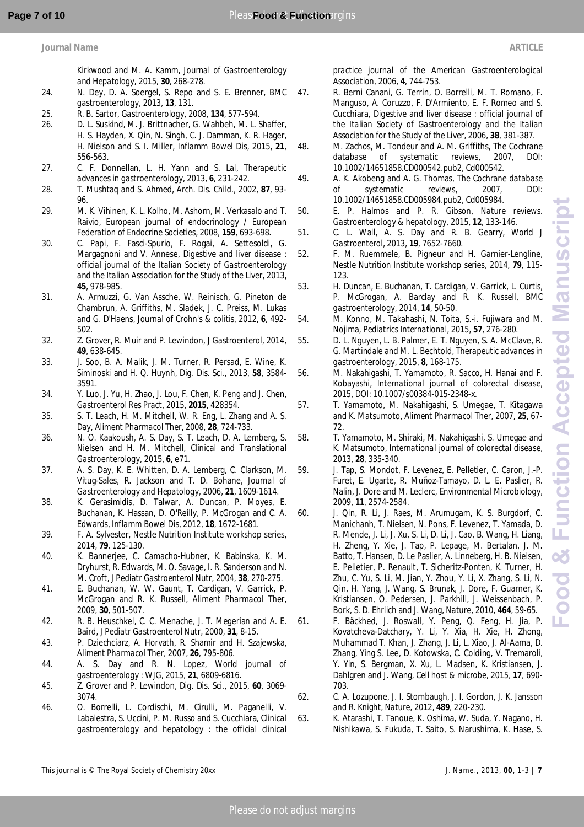**Food & Function Accepted Manuscript**

**Function Acce** 

VIENDU

pated

Kirkwood and M. A. Kamm, *Journal of Gastroenterology and Hepatology*, 2015, **30**, 268-278.

- 24. N. Dey, D. A. Soergel, S. Repo and S. E. Brenner, *BMC gastroenterology*, 2013, **13**, 131.
- 25. R. B. Sartor, *Gastroenterology*, 2008, **134**, 577-594.
- 26. D. L. Suskind, M. J. Brittnacher, G. Wahbeh, M. L. Shaffer, H. S. Hayden, X. Qin, N. Singh, C. J. Damman, K. R. Hager, H. Nielson and S. I. Miller, *Inflamm Bowel Dis*, 2015, **21**,
- 556-563. 27. C. F. Donnellan, L. H. Yann and S. Lal, *Therapeutic advances in gastroenterology*, 2013, **6**, 231-242.
- 28. T. Mushtaq and S. Ahmed, *Arch. Dis. Child.*, 2002, **87**, 93- 96.
- 29. M. K. Vihinen, K. L. Kolho, M. Ashorn, M. Verkasalo and T. Raivio, *European journal of endocrinology / European Federation of Endocrine Societies*, 2008, **159**, 693-698.
- 30. C. Papi, F. Fasci-Spurio, F. Rogai, A. Settesoldi, G. Margagnoni and V. Annese, *Digestive and liver disease : official journal of the Italian Society of Gastroenterology and the Italian Association for the Study of the Liver*, 2013, **45**, 978-985.
- 31. A. Armuzzi, G. Van Assche, W. Reinisch, G. Pineton de Chambrun, A. Griffiths, M. Sladek, J. C. Preiss, M. Lukas and G. D'Haens, *Journal of Crohn's & colitis*, 2012, **6**, 492- 502.
- 32. Z. Grover, R. Muir and P. Lewindon, *J Gastroenterol*, 2014, **49**, 638-645.
- 33. J. Soo, B. A. Malik, J. M. Turner, R. Persad, E. Wine, K. Siminoski and H. Q. Huynh, *Dig. Dis. Sci.*, 2013, **58**, 3584- 3591.
- 34. Y. Luo, J. Yu, H. Zhao, J. Lou, F. Chen, K. Peng and J. Chen, *Gastroenterol Res Pract*, 2015, **2015**, 428354.
- 35. S. T. Leach, H. M. Mitchell, W. R. Eng, L. Zhang and A. S. Day, *Aliment Pharmacol Ther*, 2008, **28**, 724-733.
- 36. N. O. Kaakoush, A. S. Day, S. T. Leach, D. A. Lemberg, S. Nielsen and H. M. Mitchell, *Clinical and Translational Gastroenterology*, 2015, **6**, e71.
- 37. A. S. Day, K. E. Whitten, D. A. Lemberg, C. Clarkson, M. Vitug-Sales, R. Jackson and T. D. Bohane, *Journal of Gastroenterology and Hepatology*, 2006, **21**, 1609-1614.
- 38. K. Gerasimidis, D. Talwar, A. Duncan, P. Moyes, E. Buchanan, K. Hassan, D. O'Reilly, P. McGrogan and C. A. Edwards, *Inflamm Bowel Dis*, 2012, **18**, 1672-1681.
- 39. F. A. Sylvester, *Nestle Nutrition Institute workshop series*, 2014, **79**, 125-130.
- 40. K. Bannerjee, C. Camacho-Hubner, K. Babinska, K. M. Dryhurst, R. Edwards, M. O. Savage, I. R. Sanderson and N. M. Croft, *J Pediatr Gastroenterol Nutr*, 2004, **38**, 270-275.
- 41. E. Buchanan, W. W. Gaunt, T. Cardigan, V. Garrick, P. McGrogan and R. K. Russell, *Aliment Pharmacol Ther*, 2009, **30**, 501-507.
- 42. R. B. Heuschkel, C. C. Menache, J. T. Megerian and A. E. Baird, *J Pediatr Gastroenterol Nutr*, 2000, **31**, 8-15.
- 43. P. Dziechciarz, A. Horvath, R. Shamir and H. Szajewska, *Aliment Pharmacol Ther*, 2007, **26**, 795-806.
- 44. A. S. Day and R. N. Lopez, *World journal of gastroenterology : WJG*, 2015, **21**, 6809-6816.
- 45. Z. Grover and P. Lewindon, *Dig. Dis. Sci.*, 2015, **60**, 3069- 3074.
- 46. O. Borrelli, L. Cordischi, M. Cirulli, M. Paganelli, V. Labalestra, S. Uccini, P. M. Russo and S. Cucchiara, *Clinical gastroenterology and hepatology : the official clinical*

*practice journal of the American Gastroenterological Association*, 2006, **4**, 744-753.

- 47. R. Berni Canani, G. Terrin, O. Borrelli, M. T. Romano, F. Manguso, A. Coruzzo, F. D'Armiento, E. F. Romeo and S. Cucchiara, *Digestive and liver disease : official journal of the Italian Society of Gastroenterology and the Italian Association for the Study of the Liver*, 2006, **38**, 381-387.
- 48. M. Zachos, M. Tondeur and A. M. Griffiths, *The Cochrane database of systematic reviews*, 2007, DOI: 10.1002/14651858.CD000542.pub2, Cd000542.
- 49. A. K. Akobeng and A. G. Thomas, *The Cochrane database of systematic reviews*, 2007, DOI: 10.1002/14651858.CD005984.pub2, Cd005984.
- 50. E. P. Halmos and P. R. Gibson, *Nature reviews. Gastroenterology & hepatology*, 2015, **12**, 133-146.
- 51. C. L. Wall, A. S. Day and R. B. Gearry, *World J Gastroenterol*, 2013, **19**, 7652-7660.
- 52. F. M. Ruemmele, B. Pigneur and H. Garnier-Lengline, *Nestle Nutrition Institute workshop series*, 2014, **79**, 115- 123.
- 53. H. Duncan, E. Buchanan, T. Cardigan, V. Garrick, L. Curtis, P. McGrogan, A. Barclay and R. K. Russell, *BMC gastroenterology*, 2014, **14**, 50-50.
- 54. M. Konno, M. Takahashi, N. Toita, S.-i. Fujiwara and M. Nojima, *Pediatrics International*, 2015, **57**, 276-280.
- 55. D. L. Nguyen, L. B. Palmer, E. T. Nguyen, S. A. McClave, R. G. Martindale and M. L. Bechtold, *Therapeutic advances in gastroenterology*, 2015, **8**, 168-175.
- 56. M. Nakahigashi, T. Yamamoto, R. Sacco, H. Hanai and F. Kobayashi, *International journal of colorectal disease*, 2015, DOI: 10.1007/s00384-015-2348-x.
- 57. T. Yamamoto, M. Nakahigashi, S. Umegae, T. Kitagawa and K. Matsumoto, *Aliment Pharmacol Ther*, 2007, **25**, 67- 72.
- 58. T. Yamamoto, M. Shiraki, M. Nakahigashi, S. Umegae and K. Matsumoto, *International journal of colorectal disease*, 2013, **28**, 335-340.
- 59. J. Tap, S. Mondot, F. Levenez, E. Pelletier, C. Caron, J.-P. Furet, E. Ugarte, R. Muñoz-Tamayo, D. L. E. Paslier, R. Nalin, J. Dore and M. Leclerc, *Environmental Microbiology*, 2009, **11**, 2574-2584.
- 60. J. Qin, R. Li, J. Raes, M. Arumugam, K. S. Burgdorf, C. Manichanh, T. Nielsen, N. Pons, F. Levenez, T. Yamada, D. R. Mende, J. Li, J. Xu, S. Li, D. Li, J. Cao, B. Wang, H. Liang, H. Zheng, Y. Xie, J. Tap, P. Lepage, M. Bertalan, J. M. Batto, T. Hansen, D. Le Paslier, A. Linneberg, H. B. Nielsen, E. Pelletier, P. Renault, T. Sicheritz-Ponten, K. Turner, H. Zhu, C. Yu, S. Li, M. Jian, Y. Zhou, Y. Li, X. Zhang, S. Li, N. Qin, H. Yang, J. Wang, S. Brunak, J. Dore, F. Guarner, K. Kristiansen, O. Pedersen, J. Parkhill, J. Weissenbach, P. Bork, S. D. Ehrlich and J. Wang, *Nature*, 2010, **464**, 59-65.
- 61. F. Bäckhed, J. Roswall, Y. Peng, Q. Feng, H. Jia, P. Kovatcheva-Datchary, Y. Li, Y. Xia, H. Xie, H. Zhong, Muhammad T. Khan, J. Zhang, J. Li, L. Xiao, J. Al-Aama, D. Zhang, Ying S. Lee, D. Kotowska, C. Colding, V. Tremaroli, Y. Yin, S. Bergman, X. Xu, L. Madsen, K. Kristiansen, J. Dahlgren and J. Wang, *Cell host & microbe*, 2015, **17**, 690- 703.
- 62. C. A. Lozupone, J. I. Stombaugh, J. I. Gordon, J. K. Jansson and R. Knight, *Nature*, 2012, **489**, 220-230.
- 63. K. Atarashi, T. Tanoue, K. Oshima, W. Suda, Y. Nagano, H. Nishikawa, S. Fukuda, T. Saito, S. Narushima, K. Hase, S.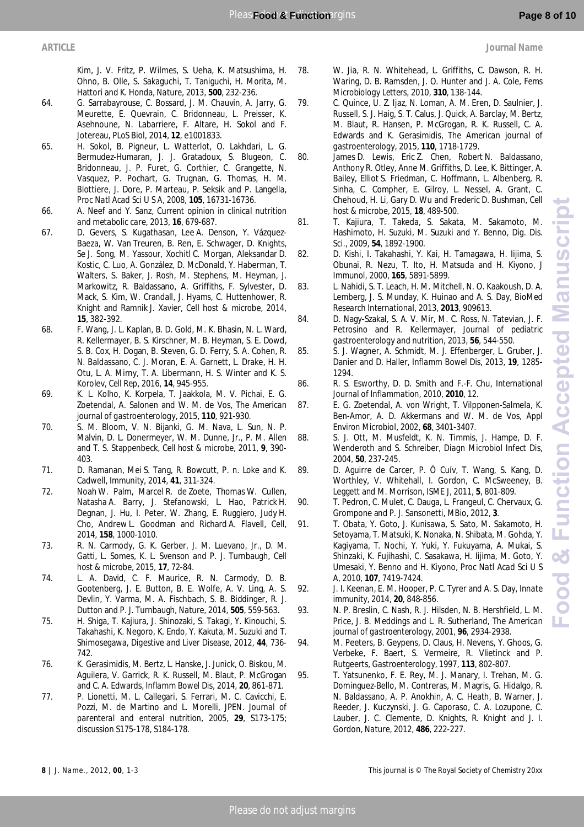Kim, J. V. Fritz, P. Wilmes, S. Ueha, K. Matsushima, H. Ohno, B. Olle, S. Sakaguchi, T. Taniguchi, H. Morita, M. Hattori and K. Honda, *Nature*, 2013, **500**, 232-236.

- 64. G. Sarrabayrouse, C. Bossard, J. M. Chauvin, A. Jarry, G. Meurette, E. Quevrain, C. Bridonneau, L. Preisser, K. Asehnoune, N. Labarriere, F. Altare, H. Sokol and F. Jotereau, *PLoS Biol*, 2014, **12**, e1001833.
- 65. H. Sokol, B. Pigneur, L. Watterlot, O. Lakhdari, L. G. Bermudez-Humaran, J. J. Gratadoux, S. Blugeon, C. Bridonneau, J. P. Furet, G. Corthier, C. Grangette, N. Vasquez, P. Pochart, G. Trugnan, G. Thomas, H. M. Blottiere, J. Dore, P. Marteau, P. Seksik and P. Langella, *Proc Natl Acad Sci U S A*, 2008, **105**, 16731-16736.
- 66. A. Neef and Y. Sanz, *Current opinion in clinical nutrition and metabolic care*, 2013, **16**, 679-687.
- 67. D. Gevers, S. Kugathasan, Lee A. Denson, Y. Vázquez-Baeza, W. Van Treuren, B. Ren, E. Schwager, D. Knights, Se J. Song, M. Yassour, Xochitl C. Morgan, Aleksandar D. Kostic, C. Luo, A. González, D. McDonald, Y. Haberman, T. Walters, S. Baker, J. Rosh, M. Stephens, M. Heyman, J. Markowitz, R. Baldassano, A. Griffiths, F. Sylvester, D. Mack, S. Kim, W. Crandall, J. Hyams, C. Huttenhower, R. Knight and Ramnik J. Xavier, *Cell host & microbe*, 2014, **15**, 382-392.
- 68. F. Wang, J. L. Kaplan, B. D. Gold, M. K. Bhasin, N. L. Ward, R. Kellermayer, B. S. Kirschner, M. B. Heyman, S. E. Dowd, S. B. Cox, H. Dogan, B. Steven, G. D. Ferry, S. A. Cohen, R. N. Baldassano, C. J. Moran, E. A. Garnett, L. Drake, H. H. Otu, L. A. Mirny, T. A. Libermann, H. S. Winter and K. S. Korolev, *Cell Rep*, 2016, **14**, 945-955.
- 69. K. L. Kolho, K. Korpela, T. Jaakkola, M. V. Pichai, E. G. Zoetendal, A. Salonen and W. M. de Vos, *The American journal of gastroenterology*, 2015, **110**, 921-930.
- 70. S. M. Bloom, V. N. Bijanki, G. M. Nava, L. Sun, N. P. Malvin, D. L. Donermeyer, W. M. Dunne, Jr., P. M. Allen and T. S. Stappenbeck, *Cell host & microbe*, 2011, **9**, 390- 403.
- 71. D. Ramanan, Mei S. Tang, R. Bowcutt, P. n. Loke and K. Cadwell, *Immunity*, 2014, **41**, 311-324.
- 72. Noah W. Palm, Marcel R. de Zoete, Thomas W. Cullen, Natasha A. Barry, J. Stefanowski, L. Hao, Patrick H. Degnan, J. Hu, I. Peter, W. Zhang, E. Ruggiero, Judy H. Cho, Andrew L. Goodman and Richard A. Flavell, *Cell*, 2014, **158**, 1000-1010.
- 73. R. N. Carmody, G. K. Gerber, J. M. Luevano, Jr., D. M. Gatti, L. Somes, K. L. Svenson and P. J. Turnbaugh, *Cell host & microbe*, 2015, **17**, 72-84.
- 74. L. A. David, C. F. Maurice, R. N. Carmody, D. B. Gootenberg, J. E. Button, B. E. Wolfe, A. V. Ling, A. S. Devlin, Y. Varma, M. A. Fischbach, S. B. Biddinger, R. J. Dutton and P. J. Turnbaugh, *Nature*, 2014, **505**, 559-563.
- 75. H. Shiga, T. Kajiura, J. Shinozaki, S. Takagi, Y. Kinouchi, S. Takahashi, K. Negoro, K. Endo, Y. Kakuta, M. Suzuki and T. Shimosegawa, *Digestive and Liver Disease*, 2012, **44**, 736- 742.
- 76. K. Gerasimidis, M. Bertz, L. Hanske, J. Junick, O. Biskou, M. Aguilera, V. Garrick, R. K. Russell, M. Blaut, P. McGrogan and C. A. Edwards, *Inflamm Bowel Dis*, 2014, **20**, 861-871.
- 77. P. Lionetti, M. L. Callegari, S. Ferrari, M. C. Cavicchi, E. Pozzi, M. de Martino and L. Morelli, *JPEN. Journal of parenteral and enteral nutrition*, 2005, **29**, S173-175; discussion S175-178, S184-178.
- 78. W. Jia, R. N. Whitehead, L. Griffiths, C. Dawson, R. H. Waring, D. B. Ramsden, J. O. Hunter and J. A. Cole, *Fems Microbiology Letters*, 2010, **310**, 138-144.
- 79. C. Quince, U. Z. Ijaz, N. Loman, A. M. Eren, D. Saulnier, J. Russell, S. J. Haig, S. T. Calus, J. Quick, A. Barclay, M. Bertz, M. Blaut, R. Hansen, P. McGrogan, R. K. Russell, C. A. Edwards and K. Gerasimidis, *The American journal of gastroenterology*, 2015, **110**, 1718-1729.
- 80. James D. Lewis, Eric Z. Chen, Robert N. Baldassano, Anthony R. Otley, Anne M. Griffiths, D. Lee, K. Bittinger, A. Bailey, Elliot S. Friedman, C. Hoffmann, L. Albenberg, R. Sinha, C. Compher, E. Gilroy, L. Nessel, A. Grant, C. Chehoud, H. Li, Gary D. Wu and Frederic D. Bushman, *Cell host & microbe*, 2015, **18**, 489-500.
- 81. T. Kajiura, T. Takeda, S. Sakata, M. Sakamoto, M. Hashimoto, H. Suzuki, M. Suzuki and Y. Benno, *Dig. Dis. Sci.*, 2009, **54**, 1892-1900.
- 82. D. Kishi, I. Takahashi, Y. Kai, H. Tamagawa, H. Iijima, S. Obunai, R. Nezu, T. Ito, H. Matsuda and H. Kiyono, *J Immunol*, 2000, **165**, 5891-5899.
- 83. L. Nahidi, S. T. Leach, H. M. Mitchell, N. O. Kaakoush, D. A. Lemberg, J. S. Munday, K. Huinao and A. S. Day, *BioMed Research International*, 2013, **2013**, 909613.
- 84. D. Nagy-Szakal, S. A. V. Mir, M. C. Ross, N. Tatevian, J. F. Petrosino and R. Kellermayer, *Journal of pediatric gastroenterology and nutrition*, 2013, **56**, 544-550.
- 85. S. J. Wagner, A. Schmidt, M. J. Effenberger, L. Gruber, J. Danier and D. Haller, *Inflamm Bowel Dis*, 2013, **19**, 1285- 1294.
- 86. R. S. Esworthy, D. D. Smith and F.-F. Chu, *International Journal of Inflammation*, 2010, **2010**, 12.
- 87. E. G. Zoetendal, A. von Wright, T. Vilpponen-Salmela, K. Ben-Amor, A. D. Akkermans and W. M. de Vos, *Appl Environ Microbiol*, 2002, **68**, 3401-3407.
- 88. S. J. Ott, M. Musfeldt, K. N. Timmis, J. Hampe, D. F. Wenderoth and S. Schreiber, *Diagn Microbiol Infect Dis*, 2004, **50**, 237-245.
- 89. D. Aguirre de Carcer, P. Ó Cuív, T. Wang, S. Kang, D. Worthley, V. Whitehall, I. Gordon, C. McSweeney, B. Leggett and M. Morrison, *ISME J*, 2011, **5**, 801-809.
- 90. T. Pedron, C. Mulet, C. Dauga, L. Frangeul, C. Chervaux, G. Grompone and P. J. Sansonetti, *MBio*, 2012, **3**.
- 91. T. Obata, Y. Goto, J. Kunisawa, S. Sato, M. Sakamoto, H. Setoyama, T. Matsuki, K. Nonaka, N. Shibata, M. Gohda, Y. Kagiyama, T. Nochi, Y. Yuki, Y. Fukuyama, A. Mukai, S. Shinzaki, K. Fujihashi, C. Sasakawa, H. Iijima, M. Goto, Y. Umesaki, Y. Benno and H. Kiyono, *Proc Natl Acad Sci U S A*, 2010, **107**, 7419-7424.
- 92. J. I. Keenan, E. M. Hooper, P. C. Tyrer and A. S. Day, *Innate immunity*, 2014, **20**, 848-856.
- 93. N. P. Breslin, C. Nash, R. J. Hilsden, N. B. Hershfield, L. M. Price, J. B. Meddings and L. R. Sutherland, *The American journal of gastroenterology*, 2001, **96**, 2934-2938.
- 94. M. Peeters, B. Geypens, D. Claus, H. Nevens, Y. Ghoos, G. Verbeke, F. Baert, S. Vermeire, R. Vlietinck and P. Rutgeerts, *Gastroenterology*, 1997, **113**, 802-807.
- 95. T. Yatsunenko, F. E. Rey, M. J. Manary, I. Trehan, M. G. Dominguez-Bello, M. Contreras, M. Magris, G. Hidalgo, R. N. Baldassano, A. P. Anokhin, A. C. Heath, B. Warner, J. Reeder, J. Kuczynski, J. G. Caporaso, C. A. Lozupone, C. Lauber, J. C. Clemente, D. Knights, R. Knight and J. I. Gordon, *Nature*, 2012, **486**, 222-227.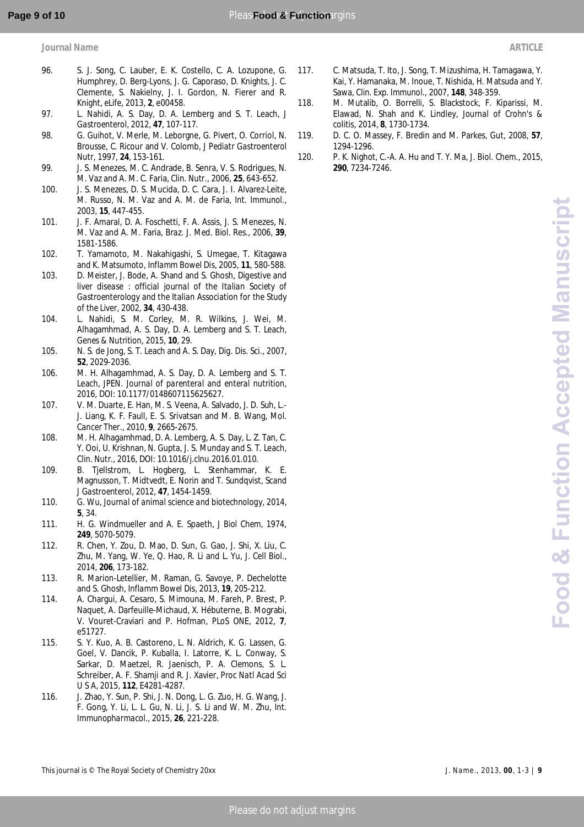**Journal Name ARTICLE**

- 96. S. J. Song, C. Lauber, E. K. Costello, C. A. Lozupone, G. Humphrey, D. Berg-Lyons, J. G. Caporaso, D. Knights, J. C. Clemente, S. Nakielny, J. I. Gordon, N. Fierer and R. Knight, *eLife*, 2013, **2**, e00458.
- 97. L. Nahidi, A. S. Day, D. A. Lemberg and S. T. Leach, *J Gastroenterol*, 2012, **47**, 107-117.
- 98. G. Guihot, V. Merle, M. Leborgne, G. Pivert, O. Corriol, N. Brousse, C. Ricour and V. Colomb, *J Pediatr Gastroenterol Nutr*, 1997, **24**, 153-161.
- 99. J. S. Menezes, M. C. Andrade, B. Senra, V. S. Rodrigues, N. M. Vaz and A. M. C. Faria, *Clin. Nutr.*, 2006, **25**, 643-652.
- 100. J. S. Menezes, D. S. Mucida, D. C. Cara, J. I. Alvarez-Leite, M. Russo, N. M. Vaz and A. M. de Faria, *Int. Immunol.*, 2003, **15**, 447-455.
- 101. J. F. Amaral, D. A. Foschetti, F. A. Assis, J. S. Menezes, N. M. Vaz and A. M. Faria, *Braz. J. Med. Biol. Res.*, 2006, **39**, 1581-1586.
- 102. T. Yamamoto, M. Nakahigashi, S. Umegae, T. Kitagawa and K. Matsumoto, *Inflamm Bowel Dis*, 2005, **11**, 580-588.
- 103. D. Meister, J. Bode, A. Shand and S. Ghosh, *Digestive and liver disease : official journal of the Italian Society of Gastroenterology and the Italian Association for the Study of the Liver*, 2002, **34**, 430-438.
- 104. L. Nahidi, S. M. Corley, M. R. Wilkins, J. Wei, M. Alhagamhmad, A. S. Day, D. A. Lemberg and S. T. Leach, *Genes & Nutrition*, 2015, **10**, 29.
- 105. N. S. de Jong, S. T. Leach and A. S. Day, *Dig. Dis. Sci.*, 2007, **52**, 2029-2036.
- 106. M. H. Alhagamhmad, A. S. Day, D. A. Lemberg and S. T. Leach, *JPEN. Journal of parenteral and enteral nutrition*, 2016, DOI: 10.1177/0148607115625627.
- 107. V. M. Duarte, E. Han, M. S. Veena, A. Salvado, J. D. Suh, L.- J. Liang, K. F. Faull, E. S. Srivatsan and M. B. Wang, *Mol. Cancer Ther.*, 2010, **9**, 2665-2675.
- 108. M. H. Alhagamhmad, D. A. Lemberg, A. S. Day, L. Z. Tan, C. Y. Ooi, U. Krishnan, N. Gupta, J. S. Munday and S. T. Leach, *Clin. Nutr.*, 2016, DOI: 10.1016/j.clnu.2016.01.010.
- 109. B. Tjellstrom, L. Hogberg, L. Stenhammar, K. E. Magnusson, T. Midtvedt, E. Norin and T. Sundqvist, *Scand J Gastroenterol*, 2012, **47**, 1454-1459.
- 110. G. Wu, *Journal of animal science and biotechnology*, 2014, **5**, 34.
- 111. H. G. Windmueller and A. E. Spaeth, *J Biol Chem*, 1974, **249**, 5070-5079.
- 112. R. Chen, Y. Zou, D. Mao, D. Sun, G. Gao, J. Shi, X. Liu, C. Zhu, M. Yang, W. Ye, Q. Hao, R. Li and L. Yu, *J. Cell Biol.*, 2014, **206**, 173-182.
- 113. R. Marion-Letellier, M. Raman, G. Savoye, P. Dechelotte and S. Ghosh, *Inflamm Bowel Dis*, 2013, **19**, 205-212.
- 114. A. Chargui, A. Cesaro, S. Mimouna, M. Fareh, P. Brest, P. Naquet, A. Darfeuille-Michaud, X. Hébuterne, B. Mograbi, V. Vouret-Craviari and P. Hofman, *PLoS ONE*, 2012, **7**, e51727.
- 115. S. Y. Kuo, A. B. Castoreno, L. N. Aldrich, K. G. Lassen, G. Goel, V. Dancik, P. Kuballa, I. Latorre, K. L. Conway, S. Sarkar, D. Maetzel, R. Jaenisch, P. A. Clemons, S. L. Schreiber, A. F. Shamji and R. J. Xavier, *Proc Natl Acad Sci U S A*, 2015, **112**, E4281-4287.
- 116. J. Zhao, Y. Sun, P. Shi, J. N. Dong, L. G. Zuo, H. G. Wang, J. F. Gong, Y. Li, L. L. Gu, N. Li, J. S. Li and W. M. Zhu, *Int. Immunopharmacol.*, 2015, **26**, 221-228.
- 117. C. Matsuda, T. Ito, J. Song, T. Mizushima, H. Tamagawa, Y. Kai, Y. Hamanaka, M. Inoue, T. Nishida, H. Matsuda and Y. Sawa, *Clin. Exp. Immunol.*, 2007, **148**, 348-359.
- 118. M. Mutalib, O. Borrelli, S. Blackstock, F. Kiparissi, M. Elawad, N. Shah and K. Lindley, *Journal of Crohn's & colitis*, 2014, **8**, 1730-1734.
- 119. D. C. O. Massey, F. Bredin and M. Parkes, *Gut*, 2008, **57**, 1294-1296.
- 120. P. K. Nighot, C.-A. A. Hu and T. Y. Ma, *J. Biol. Chem.*, 2015, **290**, 7234-7246.

This journal is © The Royal Society of Chemistry 20xx *J. Name*., 2013, **00**, 1-3 | **9**